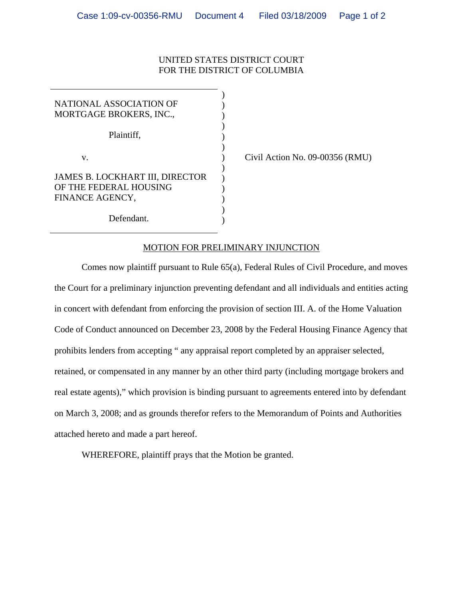## UNITED STATES DISTRICT COURT FOR THE DISTRICT OF COLUMBIA

| NATIONAL ASSOCIATION OF<br>MORTGAGE BROKERS, INC.,                           |  |
|------------------------------------------------------------------------------|--|
| Plaintiff,                                                                   |  |
| V.                                                                           |  |
| JAMES B. LOCKHART III, DIRECTOR<br>OF THE FEDERAL HOUSING<br>FINANCE AGENCY, |  |
| Defendant.                                                                   |  |

Civil Action No. 09-00356 (RMU)

## MOTION FOR PRELIMINARY INJUNCTION

 Comes now plaintiff pursuant to Rule 65(a), Federal Rules of Civil Procedure, and moves the Court for a preliminary injunction preventing defendant and all individuals and entities acting in concert with defendant from enforcing the provision of section III. A. of the Home Valuation Code of Conduct announced on December 23, 2008 by the Federal Housing Finance Agency that prohibits lenders from accepting " any appraisal report completed by an appraiser selected, retained, or compensated in any manner by an other third party (including mortgage brokers and real estate agents)," which provision is binding pursuant to agreements entered into by defendant on March 3, 2008; and as grounds therefor refers to the Memorandum of Points and Authorities attached hereto and made a part hereof.

WHEREFORE, plaintiff prays that the Motion be granted.